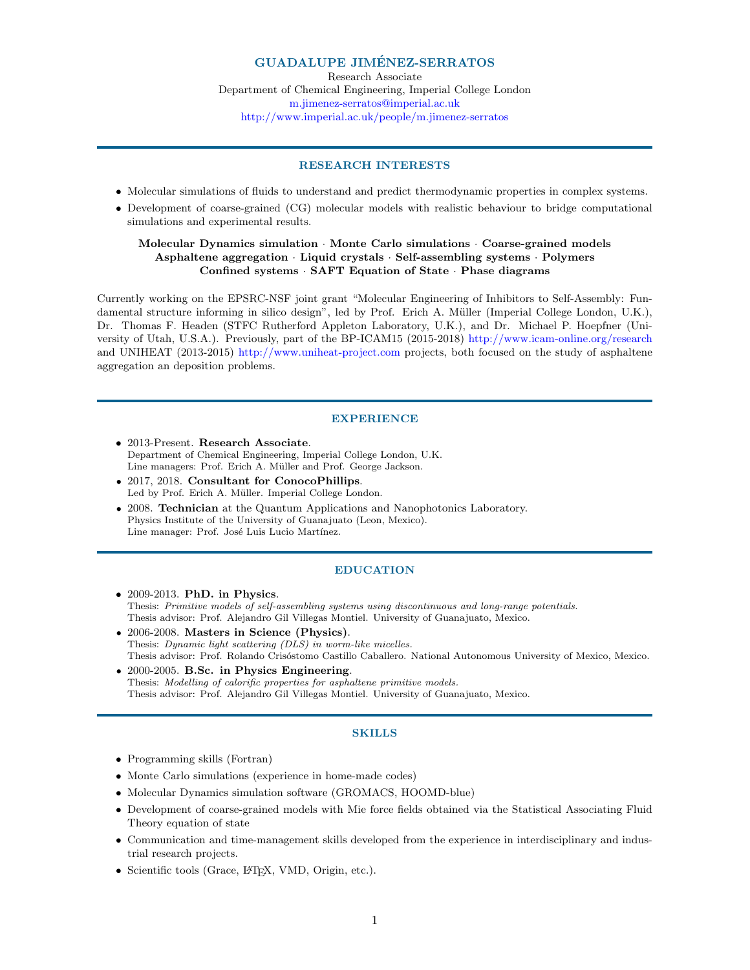# GUADALUPE JIMENEZ-SERRATOS ´

Research Associate Department of Chemical Engineering, Imperial College London m.jimenez-serratos@imperial.ac.uk http://www.imperial.ac.uk/people/m.jimenez-serratos

# RESEARCH INTERESTS

- Molecular simulations of fluids to understand and predict thermodynamic properties in complex systems.
- Development of coarse-grained (CG) molecular models with realistic behaviour to bridge computational simulations and experimental results.

### Molecular Dynamics simulation · Monte Carlo simulations · Coarse-grained models Asphaltene aggregation · Liquid crystals · Self-assembling systems · Polymers Confined systems · SAFT Equation of State · Phase diagrams

Currently working on the EPSRC-NSF joint grant "Molecular Engineering of Inhibitors to Self-Assembly: Fundamental structure informing in silico design", led by Prof. Erich A. Müller (Imperial College London, U.K.), Dr. Thomas F. Headen (STFC Rutherford Appleton Laboratory, U.K.), and Dr. Michael P. Hoepfner (University of Utah, U.S.A.). Previously, part of the BP-ICAM15 (2015-2018) http://www.icam-online.org/research and UNIHEAT (2013-2015) http://www.uniheat-project.com projects, both focused on the study of asphaltene aggregation an deposition problems.

### **EXPERIENCE**

- 2013-Present. Research Associate. Department of Chemical Engineering, Imperial College London, U.K. Line managers: Prof. Erich A. Müller and Prof. George Jackson.
- 2017, 2018. Consultant for ConocoPhillips. Led by Prof. Erich A. Müller. Imperial College London.
- 2008. Technician at the Quantum Applications and Nanophotonics Laboratory. Physics Institute of the University of Guanajuato (Leon, Mexico). Line manager: Prof. José Luis Lucio Martínez.

# EDUCATION

- 2009-2013. PhD. in Physics. Thesis: Primitive models of self-assembling systems using discontinuous and long-range potentials. Thesis advisor: Prof. Alejandro Gil Villegas Montiel. University of Guanajuato, Mexico.
- 2006-2008. Masters in Science (Physics). Thesis: Dynamic light scattering (DLS) in worm-like micelles. Thesis advisor: Prof. Rolando Crisóstomo Castillo Caballero. National Autonomous University of Mexico, Mexico.
- 2000-2005. B.Sc. in Physics Engineering. Thesis: Modelling of calorific properties for asphaltene primitive models. Thesis advisor: Prof. Alejandro Gil Villegas Montiel. University of Guanajuato, Mexico.

#### SKILLS

- Programming skills (Fortran)
- Monte Carlo simulations (experience in home-made codes)
- Molecular Dynamics simulation software (GROMACS, HOOMD-blue)
- Development of coarse-grained models with Mie force fields obtained via the Statistical Associating Fluid Theory equation of state
- Communication and time-management skills developed from the experience in interdisciplinary and industrial research projects.
- Scientific tools (Grace, L<sup>AT</sup>FX, VMD, Origin, etc.).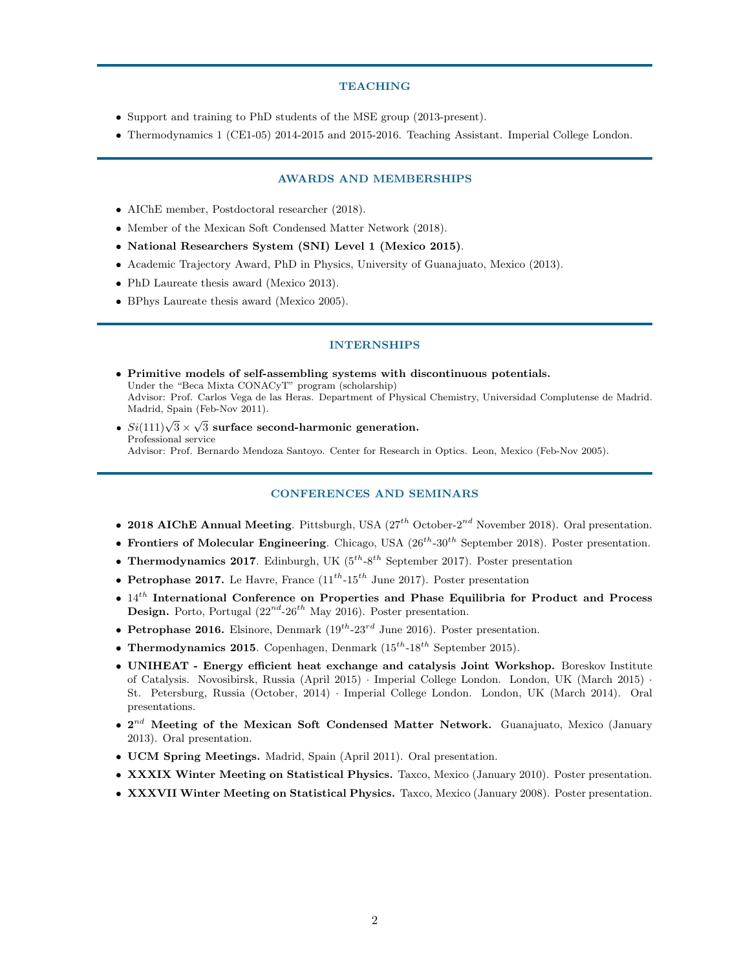#### TEACHING

- Support and training to PhD students of the MSE group (2013-present).
- Thermodynamics 1 (CE1-05) 2014-2015 and 2015-2016. Teaching Assistant. Imperial College London.

# AWARDS AND MEMBERSHIPS

- AIChE member, Postdoctoral researcher (2018).
- Member of the Mexican Soft Condensed Matter Network (2018).
- National Researchers System (SNI) Level 1 (Mexico 2015).
- Academic Trajectory Award, PhD in Physics, University of Guanajuato, Mexico (2013).
- PhD Laureate thesis award (Mexico 2013).
- BPhys Laureate thesis award (Mexico 2005).

### INTERNSHIPS

- Primitive models of self-assembling systems with discontinuous potentials. Under the "Beca Mixta CONACyT" program (scholarship) Advisor: Prof. Carlos Vega de las Heras. Department of Physical Chemistry, Universidad Complutense de Madrid. Madrid, Spain (Feb-Nov 2011).
- $Si(111)\sqrt{3} \times \sqrt{3}$  surface second-harmonic generation. Professional service Advisor: Prof. Bernardo Mendoza Santoyo. Center for Research in Optics. Leon, Mexico (Feb-Nov 2005).

### CONFERENCES AND SEMINARS

- 2018 AIChE Annual Meeting. Pittsburgh, USA  $(27<sup>th</sup> October-2<sup>nd</sup> November 2018)$ . Oral presentation.
- Frontiers of Molecular Engineering. Chicago, USA  $(26^{th}-30^{th})$  September 2018). Poster presentation.
- Thermodynamics 2017. Edinburgh, UK  $(5^{th} 8^{th})$  September 2017). Poster presentation
- Petrophase 2017. Le Havre, France  $(11^{th} 15^{th})$  June 2017). Poster presentation
- $14^{th}$  International Conference on Properties and Phase Equilibria for Product and Process **Design.** Porto, Portugal  $(22^{nd} - 26^{th}$  May 2016). Poster presentation.
- Petrophase 2016. Elsinore, Denmark  $(19^{th}$ -23<sup>rd</sup> June 2016). Poster presentation.
- Thermodynamics 2015. Copenhagen, Denmark  $(15^{th} 18^{th}$  September 2015).
- UNIHEAT Energy efficient heat exchange and catalysis Joint Workshop. Boreskov Institute of Catalysis. Novosibirsk, Russia (April 2015) · Imperial College London. London, UK (March 2015) · St. Petersburg, Russia (October, 2014) · Imperial College London. London, UK (March 2014). Oral presentations.
- $2^{nd}$  Meeting of the Mexican Soft Condensed Matter Network. Guanajuato, Mexico (January 2013). Oral presentation.
- UCM Spring Meetings. Madrid, Spain (April 2011). Oral presentation.
- XXXIX Winter Meeting on Statistical Physics. Taxco, Mexico (January 2010). Poster presentation.
- XXXVII Winter Meeting on Statistical Physics. Taxco, Mexico (January 2008). Poster presentation.